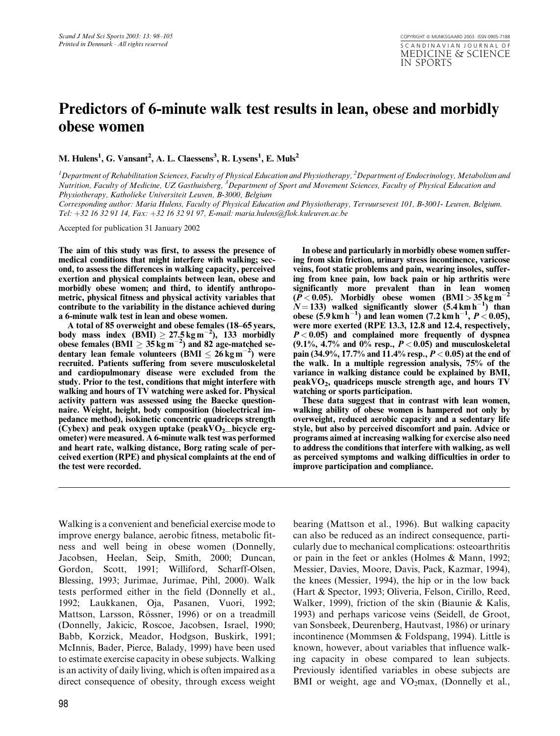# Predictors of 6-minute walk test results in lean, obese and morbidly obese women

M. Hulens<sup>1</sup>, G. Vansant<sup>2</sup>, A. L. Claessens<sup>3</sup>, R. Lysens<sup>1</sup>, E. Muls<sup>2</sup>

 ${}^1$ Department of Rehabilitation Sciences, Faculty of Physical Education and Physiotherapy,  ${}^2$ Department of Endocrinology, Metabolism and Nutrition, Faculty of Medicine, UZ Gasthuisberg, <sup>3</sup>Department of Sport and Movement Sciences, Faculty of Physical Education and Physiotherapy, Katholieke Universiteit Leuven, B-3000, Belgium

Corresponding author: Maria Hulens, Faculty of Physical Education and Physiotherapy, Tervuursevest 101, B-3001- Leuven, Belgium. Tel: +32 16 32 91 14, Fax: +32 16 32 91 97, E-mail: maria.hulens@flok.kuleuven.ac.be

Accepted for publication 31 January 2002

The aim of this study was first, to assess the presence of medical conditions that might interfere with walking: second, to assess the differences in walking capacity, perceived exertion and physical complaints between lean, obese and morbidly obese women; and third, to identify anthropometric, physical fitness and physical activity variables that contribute to the variability in the distance achieved during a 6-minute walk test in lean and obese women.

A total of 85 overweight and obese females (18–65 years, body mass index  $(BMI) \geq 27.5 \,\text{kg m}^{-2}$ , 133 morbidly obese females (BMI  $\geq 35 \,\mathrm{kg \, m^{-2}}$ ) and 82 age-matched sedentary lean female volunteers (BMI  $\leq 26 \text{ kg m}^{-2}$ ) were recruited. Patients suffering from severe musculoskeletal and cardiopulmonary disease were excluded from the study. Prior to the test, conditions that might interfere with walking and hours of TV watching were asked for. Physical activity pattern was assessed using the Baecke questionnaire. Weight, height, body composition (bioelectrical impedance method), isokinetic concentric quadriceps strength (Cybex) and peak oxygen uptake (peakVO<sub>2</sub> bicycle ergometer) were measured. A 6-minute walk test was performed and heart rate, walking distance, Borg rating scale of perceived exertion (RPE) and physical complaints at the end of the test were recorded.

Walking is a convenient and beneficial exercise mode to improve energy balance, aerobic fitness, metabolic fitness and well being in obese women (Donnelly, Jacobsen, Heelan, Seip, Smith, 2000; Duncan, Gordon, Scott, 1991; Williford, Scharff-Olsen, Blessing, 1993; Jurimae, Jurimae, Pihl, 2000). Walk tests performed either in the field (Donnelly et al., 1992; Laukkanen, Oja, Pasanen, Vuori, 1992; Mattson, Larsson, Rössner, 1996) or on a treadmill (Donnelly, Jakicic, Roscoe, Jacobsen, Israel, 1990; Babb, Korzick, Meador, Hodgson, Buskirk, 1991; McInnis, Bader, Pierce, Balady, 1999) have been used to estimate exercise capacity in obese subjects. Walking is an activity of daily living, which is often impaired as a direct consequence of obesity, through excess weight

In obese and particularly in morbidly obese women suffering from skin friction, urinary stress incontinence, varicose veins, foot static problems and pain, wearing insoles, suffering from knee pain, low back pain or hip arthritis were significantly more prevalent than in lean women  $(\overline{P}$  < 0.05). Morbidly obese women (BMI > 35 kg m<sup>-</sup>  $N=133$ ) walked significantly slower  $(5.4 \text{ km h}^{-1})$  than obese (5.9 km h<sup>-1</sup>) and lean women (7.2 km h<sup>-1</sup>,  $P < 0.05$ ), were more exerted (RPE 13.3, 12.8 and 12.4, respectively,  $P < 0.05$ ) and complained more frequently of dyspnea  $(9.1\%, 4.7\%$  and 0% resp.,  $P < 0.05$ ) and musculoskeletal pain (34.9%, 17.7% and 11.4% resp.,  $P < 0.05$ ) at the end of the walk. In a multiple regression analysis, 75% of the variance in walking distance could be explained by BMI,  $peakVO<sub>2</sub>$ , quadriceps muscle strength age, and hours TV watching or sports participation.

These data suggest that in contrast with lean women, walking ability of obese women is hampered not only by overweight, reduced aerobic capacity and a sedentary life style, but also by perceived discomfort and pain. Advice or programs aimed at increasing walking for exercise also need to address the conditions that interfere with walking, as well as perceived symptoms and walking difficulties in order to improve participation and compliance.

bearing (Mattson et al., 1996). But walking capacity can also be reduced as an indirect consequence, particularly due to mechanical complications: osteoarthritis or pain in the feet or ankles (Holmes & Mann, 1992; Messier, Davies, Moore, Davis, Pack, Kazmar, 1994), the knees (Messier, 1994), the hip or in the low back (Hart & Spector, 1993; Oliveria, Felson, Cirillo, Reed, Walker, 1999), friction of the skin (Biaunie & Kalis, 1993) and perhaps varicose veins (Seidell, de Groot, van Sonsbeek, Deurenberg, Hautvast, 1986) or urinary incontinence (Mommsen  $&$  Foldspang, 1994). Little is known, however, about variables that influence walking capacity in obese compared to lean subjects. Previously identified variables in obese subjects are BMI or weight, age and  $VO<sub>2</sub>max$ , (Donnelly et al.,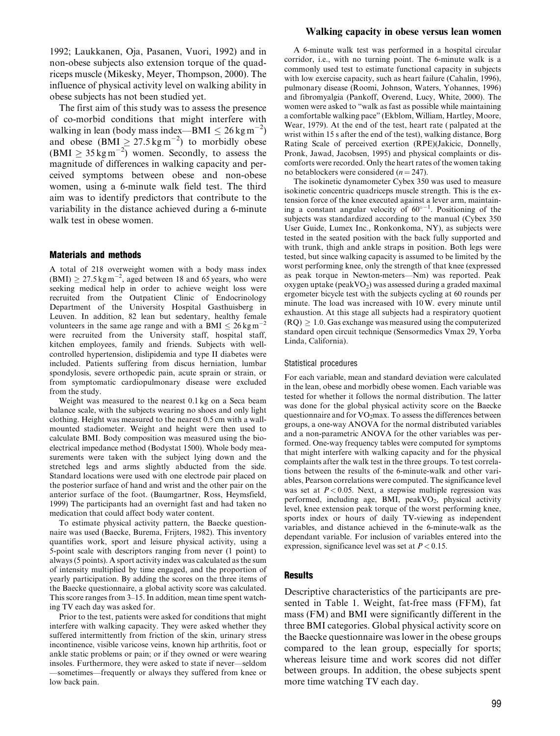1992; Laukkanen, Oja, Pasanen, Vuori, 1992) and in non-obese subjects also extension torque of the quadriceps muscle (Mikesky, Meyer, Thompson, 2000). The influence of physical activity level on walking ability in obese subjects has not been studied yet.

The first aim of this study was to assess the presence of co-morbid conditions that might interfere with walking in lean (body mass index—BMI  $\leq 26 \,\mathrm{kg\,m^{-2}}$ ) and obese  $(BMI \ge 27.5 \text{ kg m}^{-2})$  to morbidly obese<br>(BMI  $\ge 35 \text{ kg m}^{-2}$ ) women. Secondly, to assess the magnitude of differences in walking capacity and perceived symptoms between obese and non-obese women, using a 6-minute walk field test. The third aim was to identify predictors that contribute to the variability in the distance achieved during a 6-minute walk test in obese women.

#### **Materials and methods**

A total of 218 overweight women with a body mass index  $(BMI) \ge 27.5 \text{ kg m}^{-2}$ , aged between 18 and 65 years, who were seeking medical help in order to achieve weight loss were recruited from the Outpatient Clinic of Endocrinology Department of the University Hospital Gasthuisberg in Leuven. In addition, 82 lean but sedentary, healthy female volunteers in the same age range and with a BMI  $\leq 26 \text{ kg m}^{-2}$ were recruited from the University staff, hospital staff, kitchen employees, family and friends. Subjects with wellcontrolled hypertension, dislipidemia and type II diabetes were included. Patients suffering from discus herniation, lumbar spondylosis, severe orthopedic pain, acute sprain or strain, or from symptomatic cardiopulmonary disease were excluded from the study.

Weight was measured to the nearest 0.1 kg on a Seca beam balance scale, with the subjects wearing no shoes and only light clothing. Height was measured to the nearest 0.5 cm with a wallmounted stadiometer. Weight and height were then used to calculate BMI. Body composition was measured using the bioelectrical impedance method (Bodystat 1500). Whole body measurements were taken with the subject lying down and the stretched legs and arms slightly abducted from the side. Standard locations were used with one electrode pair placed on the posterior surface of hand and wrist and the other pair on the anterior surface of the foot. (Baumgartner, Ross, Heymsfield, 1999) The participants had an overnight fast and had taken no medication that could affect body water content.

To estimate physical activity pattern, the Baecke questionnaire was used (Baecke, Burema, Frijters, 1982). This inventory quantifies work, sport and leisure physical activity, using a 5-point scale with descriptors ranging from never (1 point) to always (5 points). A sport activity index was calculated as the sum of intensity multiplied by time engaged, and the proportion of vearly participation. By adding the scores on the three items of the Baecke questionnaire, a global activity score was calculated. This score ranges from 3–15. In addition, mean time spent watching TV each day was asked for.

Prior to the test, patients were asked for conditions that might interfere with walking capacity. They were asked whether they suffered intermittently from friction of the skin, urinary stress incontinence, visible varicose veins, known hip arthritis, foot or ankle static problems or pain; or if they owned or were wearing insoles. Furthermore, they were asked to state if never-seldom -sometimes-frequently or always they suffered from knee or low back pain.

#### Walking capacity in obese versus lean women

A 6-minute walk test was performed in a hospital circular corridor, i.e., with no turning point. The 6-minute walk is a commonly used test to estimate functional capacity in subjects with low exercise capacity, such as heart failure (Cahalin, 1996), pulmonary disease (Roomi, Johnson, Waters, Yohannes, 1996) and fibromyalgia (Pankoff, Overend, Lucy, White, 2000). The women were asked to "walk as fast as possible while maintaining a comfortable walking pace" (Ekblom, William, Hartley, Moore, Wear, 1979). At the end of the test, heart rate (palpated at the wrist within 15 s after the end of the test), walking distance, Borg Rating Scale of perceived exertion (RPE)(Jakicic, Donnelly, Pronk, Jawad, Jacobsen, 1995) and physical complaints or discomforts were recorded. Only the heart rates of the women taking no betablockers were considered  $(n = 247)$ .

The isokinetic dynamometer Cybex 350 was used to measure isokinetic concentric quadriceps muscle strength. This is the extension force of the knee executed against a lever arm, maintaining a constant angular velocity of  $60^{\circ -1}$ . Positioning of the subjects was standardized according to the manual (Cybex 350 User Guide, Lumex Inc., Ronkonkoma, NY), as subjects were tested in the seated position with the back fully supported and with trunk, thigh and ankle straps in position. Both legs were tested, but since walking capacity is assumed to be limited by the worst performing knee, only the strength of that knee (expressed as peak torque in Newton-meters-Nm) was reported. Peak oxygen uptake (peak  $VO<sub>2</sub>$ ) was assessed during a graded maximal ergometer bicycle test with the subjects cycling at 60 rounds per minute. The load was increased with 10W. every minute until exhaustion. At this stage all subjects had a respiratory quotient  $(RQ) \geq 1.0$ . Gas exchange was measured using the computerized standard open circuit technique (Sensormedics Vmax 29, Yorba Linda, California).

#### Statistical procedures

For each variable, mean and standard deviation were calculated in the lean, obese and morbidly obese women. Each variable was tested for whether it follows the normal distribution. The latter was done for the global physical activity score on the Baecke questionnaire and for VO<sub>2</sub>max. To assess the differences between groups, a one-way ANOVA for the normal distributed variables and a non-parametric ANOVA for the other variables was performed. One-way frequency tables were computed for symptoms that might interfere with walking capacity and for the physical complaints after the walk test in the three groups. To test correlations between the results of the 6-minute-walk and other variables, Pearson correlations were computed. The significance level was set at  $P < 0.05$ . Next, a stepwise multiple regression was performed, including age, BMI, peakVO<sub>2</sub>, physical activity level, knee extension peak torque of the worst performing knee, sports index or hours of daily TV-viewing as independent variables, and distance achieved in the 6-minute-walk as the dependant variable. For inclusion of variables entered into the expression, significance level was set at  $P < 0.15$ .

#### **Results**

Descriptive characteristics of the participants are presented in Table 1. Weight, fat-free mass (FFM), fat mass (FM) and BMI were significantly different in the three BMI categories. Global physical activity score on the Baecke questionnaire was lower in the obese groups compared to the lean group, especially for sports; whereas leisure time and work scores did not differ between groups. In addition, the obese subjects spent more time watching TV each day.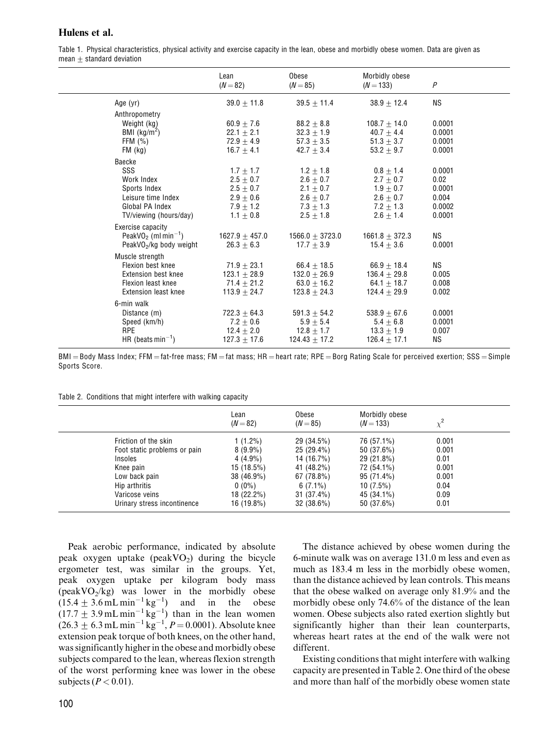# Hulens et al.

Table 1. Physical characteristics, physical activity and exercise capacity in the lean, obese and morbidly obese women. Data are given as mean  $\pm$  standard deviation

|                                             | Lean<br>$(N = 82)$ | Obese<br>$(N = 85)$ | Morbidly obese<br>$(N = 133)$ | P         |
|---------------------------------------------|--------------------|---------------------|-------------------------------|-----------|
| Age (yr)                                    | $39.0 + 11.8$      | $39.5 \pm 11.4$     | $38.9 + 12.4$                 | <b>NS</b> |
| Anthropometry                               |                    |                     |                               |           |
| Weight (kg)                                 | $60.9 + 7.6$       | $88.2 + 8.8$        | $108.7 + 14.0$                | 0.0001    |
| BMI $(kg/m^2)$                              | $22.1 + 2.1$       | $32.3 + 1.9$        | $40.7 + 4.4$                  | 0.0001    |
| FFM $(\% )$                                 | $72.9 + 4.9$       | $57.3 + 3.5$        | $51.3 + 3.7$                  | 0.0001    |
| FM (kg)                                     | $16.7 + 4.1$       | $42.7 + 3.4$        | $53.2 + 9.7$                  | 0.0001    |
| Baecke                                      |                    |                     |                               |           |
| SSS                                         | $1.7 \pm 1.7$      | $1.2 \pm 1.8$       | $0.8 \pm 1.4$                 | 0.0001    |
| Work Index                                  | $2.5 + 0.7$        | $2.6 \pm 0.7$       | $2.7 + 0.7$                   | 0.02      |
| Sports Index                                | $2.5 + 0.7$        | $2.1 + 0.7$         | $1.9 + 0.7$                   | 0.0001    |
| Leisure time Index                          | $2.9 + 0.6$        | $2.6 \pm 0.7$       | $2.6 + 0.7$                   | 0.004     |
| Global PA Index                             | $7.9 + 1.2$        | $7.3 + 1.3$         | $7.2 + 1.3$                   | 0.0002    |
| TV/viewing (hours/day)                      | $1.1 + 0.8$        | $2.5 + 1.8$         | $2.6 + 1.4$                   | 0.0001    |
| Exercise capacity                           |                    |                     |                               |           |
| PeakVO <sub>2</sub> (ml min <sup>-1</sup> ) | $1627.9 + 457.0$   | $1566.0 + 3723.0$   | $1661.8 + 372.3$              | <b>NS</b> |
| PeakVO <sub>2</sub> /kg body weight         | $26.3 + 6.3$       | $17.7 + 3.9$        | $15.4 + 3.6$                  | 0.0001    |
| Muscle strength                             |                    |                     |                               |           |
| Flexion best knee                           | $71.9 + 23.1$      | $66.4 \pm 18.5$     | $66.9 + 18.4$                 | <b>NS</b> |
| Extension best knee                         | $123.1 + 28.9$     | $132.0 + 26.9$      | $136.4 + 29.8$                | 0.005     |
| Flexion least knee                          | $71.4 + 21.2$      | $63.0 + 16.2$       | $64.1 + 18.7$                 | 0.008     |
| Extension least knee                        | $113.9 + 24.7$     | $123.8 + 24.3$      | $124.4 + 29.9$                | 0.002     |
| 6-min walk                                  |                    |                     |                               |           |
| Distance (m)                                | $722.3 + 64.3$     | $591.3 + 54.2$      | $538.9 + 67.6$                | 0.0001    |
| Speed (km/h)                                | $7.2 \pm 0.6$      | $5.9 + 5.4$         | $5.4 + 6.8$                   | 0.0001    |
| <b>RPE</b>                                  | $12.4 + 2.0$       | $12.8 + 1.7$        | $13.3 + 1.9$                  | 0.007     |
| HR (beats min <sup>-1</sup> )               | $127.3 + 17.6$     | $124.43 + 17.2$     | $126.4 + 17.1$                | <b>NS</b> |
|                                             |                    |                     |                               |           |

 $BMI = Body Mass Index$ , FFM = fat-free mass; FM = fat mass; HR = heart rate; RPE = Borg Rating Scale for perceived exertion; SSS = Simple Sports Score.

| Table 2. Conditions that might interfere with walking capacity |  |  |  |  |
|----------------------------------------------------------------|--|--|--|--|
|                                                                |  |  |  |  |

|                              | Lean<br>$(N = 82)$ | Obese<br>$(N = 85)$ | Morbidly obese<br>$(N = 133)$ |       |
|------------------------------|--------------------|---------------------|-------------------------------|-------|
| Friction of the skin         | $1(1.2\%)$         | 29 (34.5%)          | 76 (57.1%)                    | 0.001 |
| Foot static problems or pain | $8(9.9\%)$         | $25(29.4\%)$        | 50 (37.6%)                    | 0.001 |
| Insoles                      | $4(4.9\%)$         | 14 (16.7%)          | 29 (21.8%)                    | 0.01  |
| Knee pain                    | 15 (18.5%)         | 41 (48.2%)          | 72 (54.1%)                    | 0.001 |
| Low back pain                | 38 (46.9%)         | $67(78.8\%)$        | 95 (71.4%)                    | 0.001 |
| Hip arthritis                | $0(0\%)$           | $6(7.1\%)$          | 10(7.5%)                      | 0.04  |
| Varicose veins               | 18 (22.2%)         | $31(37.4\%)$        | 45 (34.1%)                    | 0.09  |
| Urinary stress incontinence  | 16 (19.8%)         | $32(38.6\%)$        | 50 (37.6%)                    | 0.01  |

Peak aerobic performance, indicated by absolute peak oxygen uptake (peak $VO<sub>2</sub>$ ) during the bicycle ergometer test, was similar in the groups. Yet, peak oxygen uptake per kilogram body mass (peakVO<sub>2</sub>/kg) was lower in the morbidly obese (15.4 ± 3.6 mL min<sup>-1</sup> kg<sup>-1</sup>) and in the obese<br>(17.7 ± 3.9 mL min<sup>-1</sup> kg<sup>-1</sup>) than in the lean women<br>(26.3 ± 6.3 mL min<sup>-1</sup> kg<sup>-1</sup>, *P* = 0.0001). Absolute knee extension peak torque of both knees, on the other hand, was significantly higher in the obese and morbidly obese subjects compared to the lean, whereas flexion strength of the worst performing knee was lower in the obese subjects ( $P < 0.01$ ).

The distance achieved by obese women during the 6-minute walk was on average 131.0 m less and even as much as 183.4 m less in the morbidly obese women, than the distance achieved by lean controls. This means that the obese walked on average only 81.9% and the morbidly obese only 74.6% of the distance of the lean women. Obese subjects also rated exertion slightly but significantly higher than their lean counterparts, whereas heart rates at the end of the walk were not different.

Existing conditions that might interfere with walking capacity are presented in Table 2. One third of the obese and more than half of the morbidly obese women state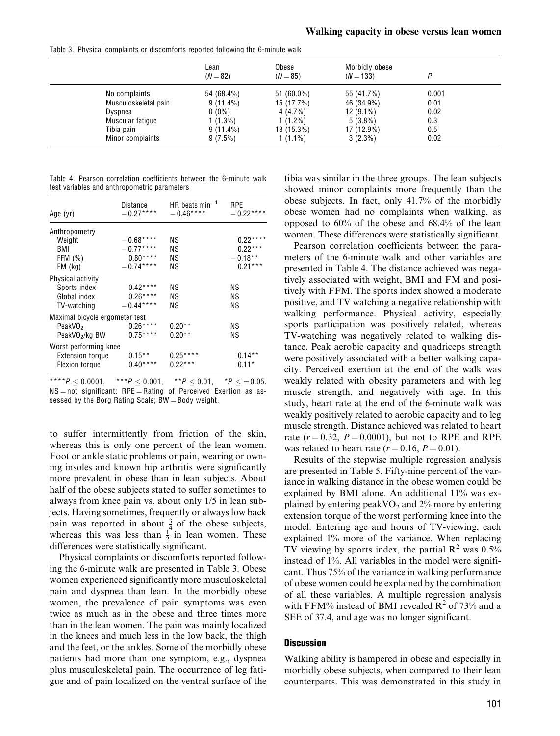Table 3. Physical complaints or discomforts reported following the 6-minute walk

|                      | Lean<br>$(N = 82)$ | Obese<br>$(N = 85)$ | Morbidly obese<br>$(N = 133)$ |       |  |
|----------------------|--------------------|---------------------|-------------------------------|-------|--|
| No complaints        | 54 (68.4%)         | $51(60.0\%)$        | 55 (41.7%)                    | 0.001 |  |
| Musculoskeletal pain | $9(11.4\%)$        | 15 (17.7%)          | 46 (34.9%)                    | 0.01  |  |
| Dyspnea              | $0(0\%)$           | $4(4.7\%)$          | $12(9.1\%)$                   | 0.02  |  |
| Muscular fatigue     | $(1.3\%)$          | $1(1.2\%)$          | $5(3.8\%)$                    | 0.3   |  |
| Tibia pain           | $9(11.4\%)$        | 13 (15.3%)          | 17 (12.9%)                    | 0.5   |  |
| Minor complaints     | $9(7.5\%)$         | $1(1.1\%)$          | $3(2.3\%)$                    | 0.02  |  |

Table 4. Pearson correlation coefficients between the 6-minute walk test variables and anthropometric parameters

| Age (yr)                       | Distance<br>$-0.27***$ | HR beats $min^{-1}$<br>$-0.46***$ | RPE<br>$-0.22***$ |
|--------------------------------|------------------------|-----------------------------------|-------------------|
| Anthropometry                  |                        |                                   |                   |
| Weight                         | $-0.68***$             | ΝS                                | $0.22***$         |
| BMI                            | $-0.77***$             | ΝS                                | $0.22***$         |
| FFM $(\% )$                    | $0.80***$              | ΝS                                | $-0.18**$         |
| $FM$ (kg)                      | $-0.74***$             | ΝS                                | $0.21***$         |
| Physical activity              |                        |                                   |                   |
| Sports index                   | $0.42***$              | ΝS                                | ΝS                |
| Global index                   | $0.26***$              | ΝS                                | ΝS                |
| TV-watching                    | $-0.44***$             | ΝS                                | ΝS                |
| Maximal bicycle ergometer test |                        |                                   |                   |
| PeakVO <sub>2</sub>            | $0.26***$              | $0.20***$                         | ΝS                |
| PeakVO <sub>2</sub> /kg BW     | $0.75***$              | $0.20**$                          | ΝS                |
| Worst performing knee          |                        |                                   |                   |
| <b>Extension torque</b>        | $0.15***$              | $0.25***$                         | $0.14***$         |
| Flexion torque                 | $0.40***$              | $0.22***$                         | $0.11*$           |
|                                |                        |                                   |                   |

\*\*\*\*P < 0.0001, \*\*\*P < 0.001, \*\*P < 0.01, \*P < = 0.05.  $NS = not$  significant; RPE = Rating of Perceived Exertion as assessed by the Borg Rating Scale; BW = Body weight.

to suffer intermittently from friction of the skin, whereas this is only one percent of the lean women. Foot or ankle static problems or pain, wearing or owning insoles and known hip arthritis were significantly more prevalent in obese than in lean subjects. About half of the obese subjects stated to suffer sometimes to always from knee pain vs. about only 1/5 in lean subjects. Having sometimes, frequently or always low back pain was reported in about  $\frac{3}{4}$  of the obese subjects, whereas this was less than  $\frac{1}{2}$  in lean women. These differences were statistically significant.

Physical complaints or discomforts reported following the 6-minute walk are presented in Table 3. Obese women experienced significantly more musculoskeletal pain and dyspnea than lean. In the morbidly obese women, the prevalence of pain symptoms was even twice as much as in the obese and three times more than in the lean women. The pain was mainly localized in the knees and much less in the low back, the thigh and the feet, or the ankles. Some of the morbidly obese patients had more than one symptom, e.g., dyspnea plus musculoskeletal pain. The occurrence of leg fatigue and of pain localized on the ventral surface of the

tibia was similar in the three groups. The lean subjects showed minor complaints more frequently than the obese subjects. In fact, only 41.7% of the morbidly obese women had no complaints when walking, as opposed to  $60\%$  of the obese and  $68.4\%$  of the lean women. These differences were statistically significant.

Pearson correlation coefficients between the parameters of the 6-minute walk and other variables are presented in Table 4. The distance achieved was negatively associated with weight, BMI and FM and positively with FFM. The sports index showed a moderate positive, and TV watching a negative relationship with walking performance. Physical activity, especially sports participation was positively related, whereas TV-watching was negatively related to walking distance. Peak aerobic capacity and quadriceps strength were positively associated with a better walking capacity. Perceived exertion at the end of the walk was weakly related with obesity parameters and with leg muscle strength, and negatively with age. In this study, heart rate at the end of the 6-minute walk was weakly positively related to aerobic capacity and to leg muscle strength. Distance achieved was related to heart rate  $(r=0.32, P=0.0001)$ , but not to RPE and RPE was related to heart rate  $(r = 0.16, P = 0.01)$ .

Results of the stepwise multiple regression analysis are presented in Table 5. Fifty-nine percent of the variance in walking distance in the obese women could be explained by BMI alone. An additional 11% was explained by entering peak  $VO_2$  and  $2\%$  more by entering extension torque of the worst performing knee into the model. Entering age and hours of TV-viewing, each explained 1% more of the variance. When replacing TV viewing by sports index, the partial  $\mathbb{R}^2$  was 0.5% instead of 1%. All variables in the model were significant. Thus 75% of the variance in walking performance of obese women could be explained by the combination of all these variables. A multiple regression analysis with FFM% instead of BMI revealed  $R^2$  of 73% and a SEE of 37.4, and age was no longer significant.

### **Discussion**

Walking ability is hampered in obese and especially in morbidly obese subjects, when compared to their lean counterparts. This was demonstrated in this study in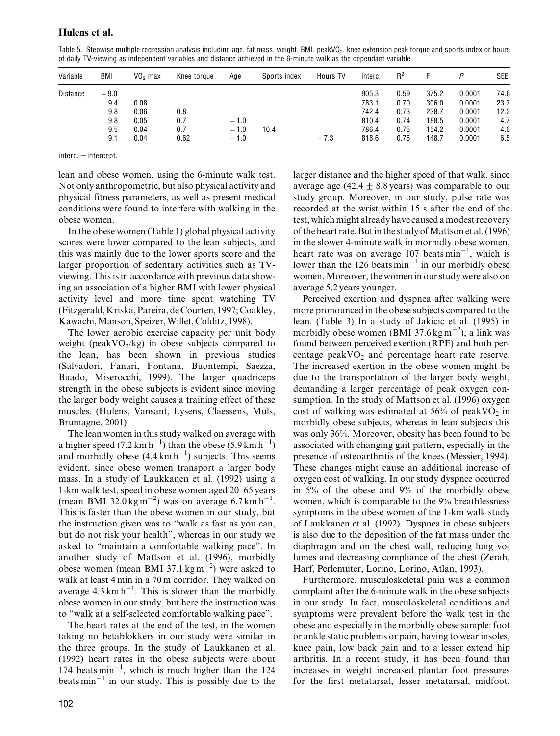| Variable        | BMI           | $V02$ max    | Knee torque | Age              | Sports index | Hours TV | interc.        | $R^2$        |                | D                | <b>SEE</b>   |
|-----------------|---------------|--------------|-------------|------------------|--------------|----------|----------------|--------------|----------------|------------------|--------------|
| <b>Distance</b> | $-9.0$<br>9.4 | 0.08         |             |                  |              |          | 905.3<br>783.1 | 0.59<br>0.70 | 375.2<br>306.0 | 0.0001<br>0.0001 | 74.6<br>23.7 |
|                 | 9.8           | 0.06         | 0.8         |                  |              |          | 742.4          | 0.73         | 238.7          | 0.0001           | 12.2         |
|                 | 9.8<br>9.5    | 0.05<br>0.04 | 0.7<br>0.7  | $-1.0$<br>$-1.0$ | 10.4         |          | 810.4<br>786.4 | 0.74<br>0.75 | 188.5<br>154.2 | 0.0001<br>0.0001 | 4.7<br>4.6   |
|                 | 9.1           | 0.04         | 0.62        | $-1.0$           |              | $-7.3$   | 818.6          | 0.75         | 148.7          | 0.0001           | 6.5          |

Table 5. Stepwise multiple regression analysis including age, fat mass, weight. BMI, peakVO<sub>2</sub>, knee extension peak torque and sports index or hours of daily TV-viewing as independent variables and distance achieved in the 6-minute walk as the dependant variable

 $interc = intercept.$ 

lean and obese women, using the 6-minute walk test. Not only anthropometric, but also physical activity and physical fitness parameters, as well as present medical conditions were found to interfere with walking in the obese women.

In the obese women (Table 1) global physical activity scores were lower compared to the lean subjects, and this was mainly due to the lower sports score and the larger proportion of sedentary activities such as TVviewing. This is in accordance with previous data showing an association of a higher BMI with lower physical activity level and more time spent watching TV (Fitzgerald, Kriska, Pareira, de Courten, 1997; Coakley, Kawachi, Manson, Speizer, Willet, Colditz, 1998).

The lower aerobic exercise capacity per unit body weight (peakVO<sub>2</sub>/kg) in obese subjects compared to the lean, has been shown in previous studies (Salvadori, Fanari, Fontana, Buontempi, Saezza, Buado, Miserocchi, 1999). The larger quadriceps strength in the obese subjects is evident since moving the larger body weight causes a training effect of these muscles. (Hulens, Vansant, Lysens, Claessens, Muls, Brumagne, 2001)

The lean women in this study walked on average with a higher speed  $(7.2 \text{ km h}^{-1})$  than the obese  $(5.9 \text{ km h}^{-1})$ and morbidly obese  $(4.4 \text{ km h}^{-1})$  subjects. This seems evident, since obese women transport a larger body mass. In a study of Laukkanen et al. (1992) using a 1-km walk test, speed in obese women aged 20–65 years (mean BMI 32.0 kg m<sup>-2</sup>) was on average 6.7 km h<sup>-1</sup>. This is faster than the obese women in our study, but the instruction given was to "walk as fast as you can, but do not risk your health", whereas in our study we asked to "maintain a comfortable walking pace". In another study of Mattson et al. (1996), morbidly obese women (mean BMI 37.1 kg m<sup> $-2$ </sup>) were asked to walk at least 4 min in a 70 m corridor. They walked on average  $4.3 \text{ km h}^{-1}$ . This is slower than the morbidly obese women in our study, but here the instruction was to "walk at a self-selected comfortable walking pace".

The heart rates at the end of the test, in the women taking no betablokkers in our study were similar in the three groups. In the study of Laukkanen et al. (1992) heart rates in the obese subjects were about 174 beats  $min^{-1}$ , which is much higher than the 124 beats  $min^{-1}$  in our study. This is possibly due to the larger distance and the higher speed of that walk, since average age (42.4  $\pm$  8.8 years) was comparable to our study group. Moreover, in our study, pulse rate was recorded at the wrist within 15 s after the end of the test, which might already have caused a modest recovery of the heart rate. But in the study of Mattson et al. (1996) in the slower 4-minute walk in morbidly obese women, heart rate was on average 107 beats min<sup>-1</sup>, which is lower than the 126 beats  $min^{-1}$  in our morbidly obese women. Moreover, the women in our study were also on average 5.2 years younger.

Perceived exertion and dyspnea after walking were more pronounced in the obese subjects compared to the lean. (Table 3) In a study of Jakicic et al. (1995) in morbidly obese women (BMI 37.6 kg m<sup> $-2$ </sup>), a link was found between perceived exertion (RPE) and both percentage peak VO<sub>2</sub> and percentage heart rate reserve. The increased exertion in the obese women might be due to the transportation of the larger body weight, demanding a larger percentage of peak oxygen consumption. In the study of Mattson et al. (1996) oxygen cost of walking was estimated at  $56\%$  of peak VO<sub>2</sub> in morbidly obese subjects, whereas in lean subjects this was only 36%. Moreover, obesity has been found to be associated with changing gait pattern, especially in the presence of osteoarthritis of the knees (Messier, 1994). These changes might cause an additional increase of oxygen cost of walking. In our study dyspnee occurred in  $5\%$  of the obese and  $9\%$  of the morbidly obese women, which is comparable to the 9% breathlessness symptoms in the obese women of the 1-km walk study of Laukkanen et al. (1992). Dyspnea in obese subjects is also due to the deposition of the fat mass under the diaphragm and on the chest wall, reducing lung volumes and decreasing compliance of the chest (Zerah, Harf, Perlemuter, Lorino, Lorino, Atlan, 1993).

Furthermore, musculoskeletal pain was a common complaint after the 6-minute walk in the obese subjects in our study. In fact, musculoskeletal conditions and symptoms were prevalent before the walk test in the obese and especially in the morbidly obese sample: foot or ankle static problems or pain, having to wear insoles, knee pain, low back pain and to a lesser extend hip arthritis. In a recent study, it has been found that increases in weight increased plantar foot pressures for the first metatarsal, lesser metatarsal, midfoot,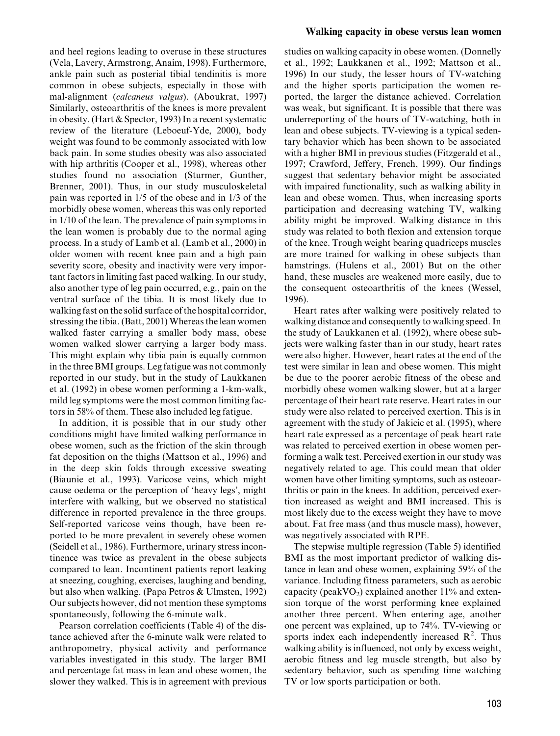and heel regions leading to overuse in these structures (Vela, Lavery, Armstrong, Anaim, 1998). Furthermore, ankle pain such as posterial tibial tendinitis is more common in obese subjects, especially in those with mal-alignment (calcaneus valgus). (Aboukrat, 1997) Similarly, osteoarthritis of the knees is more prevalent in obesity. (Hart & Spector, 1993) In a recent systematic review of the literature (Leboeuf-Yde, 2000), body weight was found to be commonly associated with low back pain. In some studies obesity was also associated with hip arthritis (Cooper et al., 1998), whereas other studies found no association (Sturmer, Gunther, Brenner, 2001). Thus, in our study musculoskeletal pain was reported in  $1/5$  of the obese and in  $1/3$  of the morbidly obese women, whereas this was only reported in  $1/10$  of the lean. The prevalence of pain symptoms in the lean women is probably due to the normal aging process. In a study of Lamb et al. (Lamb et al., 2000) in older women with recent knee pain and a high pain severity score, obesity and inactivity were very important factors in limiting fast paced walking. In our study, also another type of leg pain occurred, e.g., pain on the ventral surface of the tibia. It is most likely due to walking fast on the solid surface of the hospital corridor, stressing the tibia. (Batt, 2001) Whereas the lean women walked faster carrying a smaller body mass, obese women walked slower carrying a larger body mass. This might explain why tibia pain is equally common in the three BMI groups. Leg fatigue was not commonly reported in our study, but in the study of Laukkanen et al. (1992) in obese women performing a 1-km-walk, mild leg symptoms were the most common limiting factors in 58% of them. These also included leg fatigue.

In addition, it is possible that in our study other conditions might have limited walking performance in obese women, such as the friction of the skin through fat deposition on the thighs (Mattson et al., 1996) and in the deep skin folds through excessive sweating (Biaunie et al., 1993). Varicose veins, which might cause oedema or the perception of 'heavy legs', might interfere with walking, but we observed no statistical difference in reported prevalence in the three groups. Self-reported varicose veins though, have been reported to be more prevalent in severely obese women (Seidell et al., 1986). Furthermore, urinary stress incontinence was twice as prevalent in the obese subjects compared to lean. Incontinent patients report leaking at sneezing, coughing, exercises, laughing and bending, but also when walking. (Papa Petros & Ulmsten, 1992) Our subjects however, did not mention these symptoms spontaneously, following the 6-minute walk.

Pearson correlation coefficients (Table 4) of the distance achieved after the 6-minute walk were related to anthropometry, physical activity and performance variables investigated in this study. The larger BMI and percentage fat mass in lean and obese women, the slower they walked. This is in agreement with previous

#### Walking capacity in obese versus lean women

studies on walking capacity in obese women. (Donnelly et al., 1992; Laukkanen et al., 1992; Mattson et al., 1996) In our study, the lesser hours of TV-watching and the higher sports participation the women reported, the larger the distance achieved. Correlation was weak, but significant. It is possible that there was underreporting of the hours of TV-watching, both in lean and obese subjects. TV-viewing is a typical sedentary behavior which has been shown to be associated with a higher BMI in previous studies (Fitzgerald et al., 1997; Crawford, Jeffery, French, 1999). Our findings suggest that sedentary behavior might be associated with impaired functionality, such as walking ability in lean and obese women. Thus, when increasing sports participation and decreasing watching TV, walking ability might be improved. Walking distance in this study was related to both flexion and extension torque of the knee. Trough weight bearing quadriceps muscles are more trained for walking in obese subjects than hamstrings. (Hulens et al., 2001) But on the other hand, these muscles are weakened more easily, due to the consequent osteoarthritis of the knees (Wessel, 1996).

Heart rates after walking were positively related to walking distance and consequently to walking speed. In the study of Laukkanen et al. (1992), where obese subjects were walking faster than in our study, heart rates were also higher. However, heart rates at the end of the test were similar in lean and obese women. This might be due to the poorer aerobic fitness of the obese and morbidly obese women walking slower, but at a larger percentage of their heart rate reserve. Heart rates in our study were also related to perceived exertion. This is in agreement with the study of Jakicic et al. (1995), where heart rate expressed as a percentage of peak heart rate was related to perceived exertion in obese women performing a walk test. Perceived exertion in our study was negatively related to age. This could mean that older women have other limiting symptoms, such as osteoarthritis or pain in the knees. In addition, perceived exertion increased as weight and BMI increased. This is most likely due to the excess weight they have to move about. Fat free mass (and thus muscle mass), however, was negatively associated with RPE.

The stepwise multiple regression (Table 5) identified BMI as the most important predictor of walking distance in lean and obese women, explaining 59% of the variance. Including fitness parameters, such as aerobic capacity (peak VO<sub>2</sub>) explained another  $11\%$  and extension torque of the worst performing knee explained another three percent. When entering age, another one percent was explained, up to 74%. TV-viewing or sports index each independently increased  $\mathbb{R}^2$ . Thus walking ability is influenced, not only by excess weight, aerobic fitness and leg muscle strength, but also by sedentary behavior, such as spending time watching TV or low sports participation or both.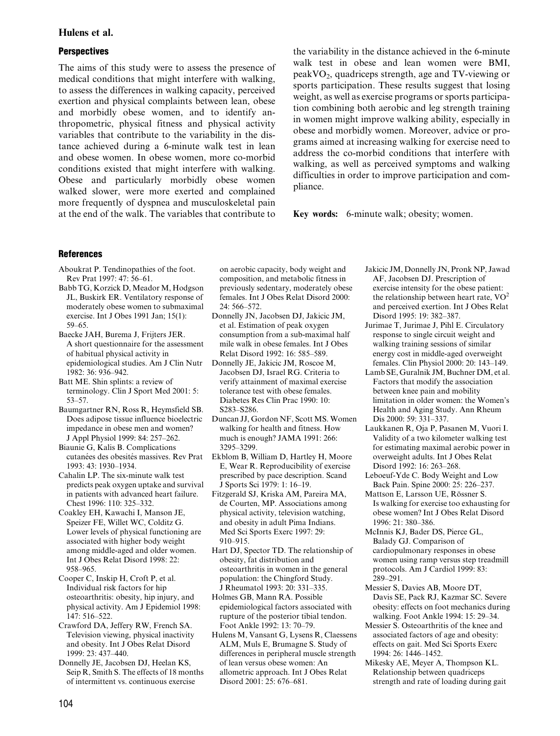# Hulens et al.

#### **Perspectives**

The aims of this study were to assess the presence of medical conditions that might interfere with walking, to assess the differences in walking capacity, perceived exertion and physical complaints between lean, obese and morbidly obese women, and to identify anthropometric, physical fitness and physical activity variables that contribute to the variability in the distance achieved during a 6-minute walk test in lean and obese women. In obese women, more co-morbid conditions existed that might interfere with walking. Obese and particularly morbidly obese women walked slower, were more exerted and complained more frequently of dyspnea and musculoskeletal pain at the end of the walk. The variables that contribute to

the variability in the distance achieved in the 6-minute walk test in obese and lean women were BMI, peakVO<sub>2</sub>, quadriceps strength, age and TV-viewing or sports participation. These results suggest that losing weight, as well as exercise programs or sports participation combining both aerobic and leg strength training in women might improve walking ability, especially in obese and morbidly women. Moreover, advice or programs aimed at increasing walking for exercise need to address the co-morbid conditions that interfere with walking, as well as perceived symptoms and walking difficulties in order to improve participation and compliance.

Key words: 6-minute walk; obesity; women.

### **References**

- Aboukrat P. Tendinopathies of the foot. Rev Prat 1997: 47: 56-61.
- Babb TG, Korzick D, Meador M, Hodgson JL, Buskirk ER. Ventilatory response of moderately obese women to submaximal exercise. Int J Obes 1991 Jan; 15(1):  $59 - 65$ .

Baecke JAH. Burema J. Friiters JER. A short questionnaire for the assessment of habitual physical activity in epidemiological studies. Am J Clin Nutr 1982: 36: 936-942.

Batt ME. Shin splints: a review of terminology. Clin J Sport Med 2001: 5:  $53 - 57$ .

Baumgartner RN, Ross R, Heymsfield SB. Does adipose tissue influence bioelectric impedance in obese men and women? J Appl Physiol 1999: 84: 257-262.

Biaunie G, Kalis B. Complications cutanées des obesités massives. Rev Prat 1993: 43: 1930-1934.

Cahalin LP. The six-minute walk test predicts peak oxygen uptake and survival in patients with advanced heart failure. Chest 1996: 110: 325-332.

Coakley EH, Kawachi I, Manson JE, Speizer FE, Willet WC, Colditz G. Lower levels of physical functioning are associated with higher body weight among middle-aged and older women. Int J Obes Relat Disord 1998: 22: 958-965.

Cooper C, Inskip H, Croft P, et al. Individual risk factors for hip osteoarthritis: obesity, hip injury, and physical activity. Am J Epidemiol 1998: 147: 516-522.

Crawford DA, Jeffery RW, French SA. Television viewing, physical inactivity and obesity. Int J Obes Relat Disord 1999: 23: 437-440.

Donnelly JE, Jacobsen DJ, Heelan KS, Seip R, Smith S. The effects of 18 months of intermittent vs. continuous exercise

on aerobic capacity, body weight and composition, and metabolic fitness in previously sedentary, moderately obese females. Int J Obes Relat Disord 2000:  $24:566 - 572.$ 

- Donnelly JN, Jacobsen DJ, Jakicic JM, et al. Estimation of peak oxygen consumption from a sub-maximal half mile walk in obese females. Int J Obes Relat Disord 1992: 16: 585-589.
- Donnelly JE, Jakicic JM, Roscoe M, Jacobsen DJ, Israel RG. Criteria to verify attainment of maximal exercise tolerance test with obese females. Diabetes Res Clin Prac 1990: 10: S283-S286.
- Duncan JJ, Gordon NF, Scott MS. Women walking for health and fitness. How much is enough? JAMA 1991: 266: 3295-3299.
- Ekblom B, William D, Hartley H, Moore E, Wear R. Reproducibility of exercise prescribed by pace description. Scand J Sports Sci 1979: 1: 16-19.

Fitzgerald SJ, Kriska AM, Pareira MA, de Courten, MP. Associations among physical activity, television watching, and obesity in adult Pima Indians. Med Sci Sports Exerc 1997: 29: 910-915.

Hart DJ, Spector TD. The relationship of obesity, fat distribution and osteoarthritis in women in the general population: the Chingford Study. J Rheumatol 1993: 20: 331-335.

Holmes GB, Mann RA, Possible epidemiological factors associated with rupture of the posterior tibial tendon. Foot Ankle 1992: 13: 70-79.

Hulens M, Vansant G, Lysens R, Claessens ALM, Muls E, Brumagne S. Study of differences in peripheral muscle strength of lean versus obese women: An allometric approach. Int J Obes Relat Disord 2001: 25: 676-681.

Jakicic JM, Donnelly JN, Pronk NP, Jawad AF, Jacobsen DJ. Prescription of exercise intensity for the obese patient: the relationship between heart rate,  $VO^2$ and perceived exertion. Int J Obes Relat Disord 1995: 19: 382-387.

Jurimae T, Jurimae J, Pihl E. Circulatory response to single circuit weight and walking training sessions of similar energy cost in middle-aged overweight females. Clin Physiol 2000: 20: 143-149.

- Lamb SE, Guralnik JM, Buchner DM, et al. Factors that modify the association between knee pain and mobility limitation in older women: the Women's Health and Aging Study. Ann Rheum Dis 2000: 59: 331-337.
- Laukkanen R, Oja P, Pasanen M, Vuori I. Validity of a two kilometer walking test for estimating maximal aerobic power in overweight adults. Int J Obes Relat Disord 1992: 16: 263-268.
- Leboeuf-Yde C. Body Weight and Low Back Pain. Spine 2000: 25: 226-237.
- Mattson E, Larsson UE, Rössner S. Is walking for exercise too exhausting for obese women? Int J Obes Relat Disord 1996: 21: 380-386.
- McInnis KJ, Bader DS, Pierce GL, Balady GJ. Comparison of cardiopulmonary responses in obese women using ramp versus step treadmill protocols. Am J Cardiol 1999: 83: 289-291.
- Messier S, Davies AB, Moore DT, Davis SE, Pack RJ, Kazmar SC, Severe obesity: effects on foot mechanics during walking. Foot Ankle 1994: 15: 29-34.
- Messier S. Osteoarthritis of the knee and associated factors of age and obesity: effects on gait. Med Sci Sports Exerc 1994: 26: 1446-1452.
- Mikesky AE, Meyer A, Thompson KL. Relationship between quadriceps strength and rate of loading during gait